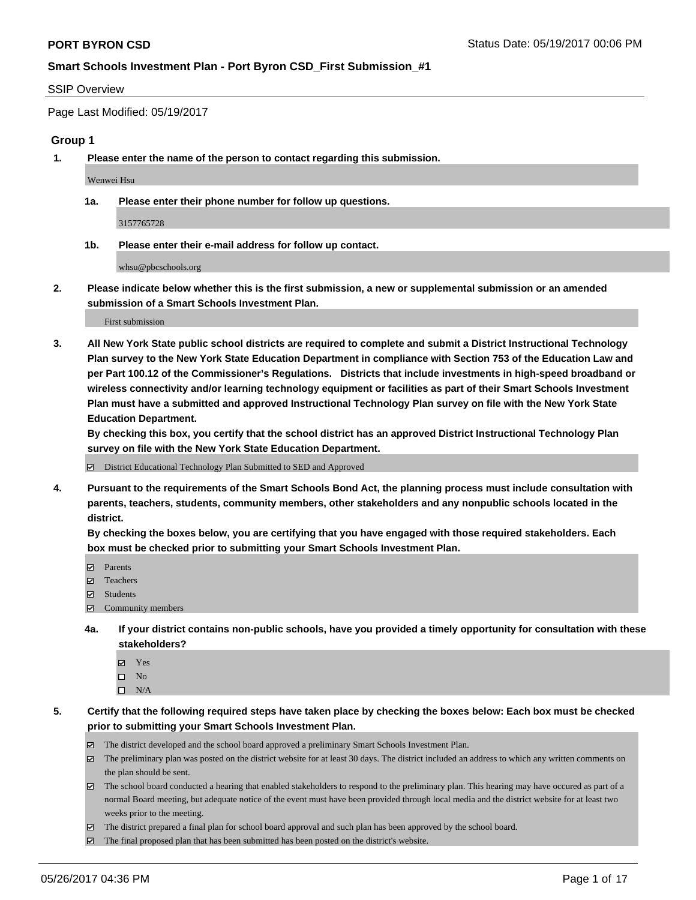#### SSIP Overview

Page Last Modified: 05/19/2017

#### **Group 1**

**1. Please enter the name of the person to contact regarding this submission.**

Wenwei Hsu

**1a. Please enter their phone number for follow up questions.**

3157765728

**1b. Please enter their e-mail address for follow up contact.**

whsu@pbcschools.org

**2. Please indicate below whether this is the first submission, a new or supplemental submission or an amended submission of a Smart Schools Investment Plan.**

First submission

**3. All New York State public school districts are required to complete and submit a District Instructional Technology Plan survey to the New York State Education Department in compliance with Section 753 of the Education Law and per Part 100.12 of the Commissioner's Regulations. Districts that include investments in high-speed broadband or wireless connectivity and/or learning technology equipment or facilities as part of their Smart Schools Investment Plan must have a submitted and approved Instructional Technology Plan survey on file with the New York State Education Department.** 

**By checking this box, you certify that the school district has an approved District Instructional Technology Plan survey on file with the New York State Education Department.**

District Educational Technology Plan Submitted to SED and Approved

**4. Pursuant to the requirements of the Smart Schools Bond Act, the planning process must include consultation with parents, teachers, students, community members, other stakeholders and any nonpublic schools located in the district.** 

**By checking the boxes below, you are certifying that you have engaged with those required stakeholders. Each box must be checked prior to submitting your Smart Schools Investment Plan.**

- **マ** Parents
- □ Teachers
- Students
- $\Xi$  Community members
- **4a. If your district contains non-public schools, have you provided a timely opportunity for consultation with these stakeholders?**
	- Yes
	- $\hfill \square$  No
	- $\square$  N/A
- **5. Certify that the following required steps have taken place by checking the boxes below: Each box must be checked prior to submitting your Smart Schools Investment Plan.**
	- The district developed and the school board approved a preliminary Smart Schools Investment Plan.
	- $\boxtimes$  The preliminary plan was posted on the district website for at least 30 days. The district included an address to which any written comments on the plan should be sent.
	- $\boxtimes$  The school board conducted a hearing that enabled stakeholders to respond to the preliminary plan. This hearing may have occured as part of a normal Board meeting, but adequate notice of the event must have been provided through local media and the district website for at least two weeks prior to the meeting.
	- The district prepared a final plan for school board approval and such plan has been approved by the school board.
	- $\boxtimes$  The final proposed plan that has been submitted has been posted on the district's website.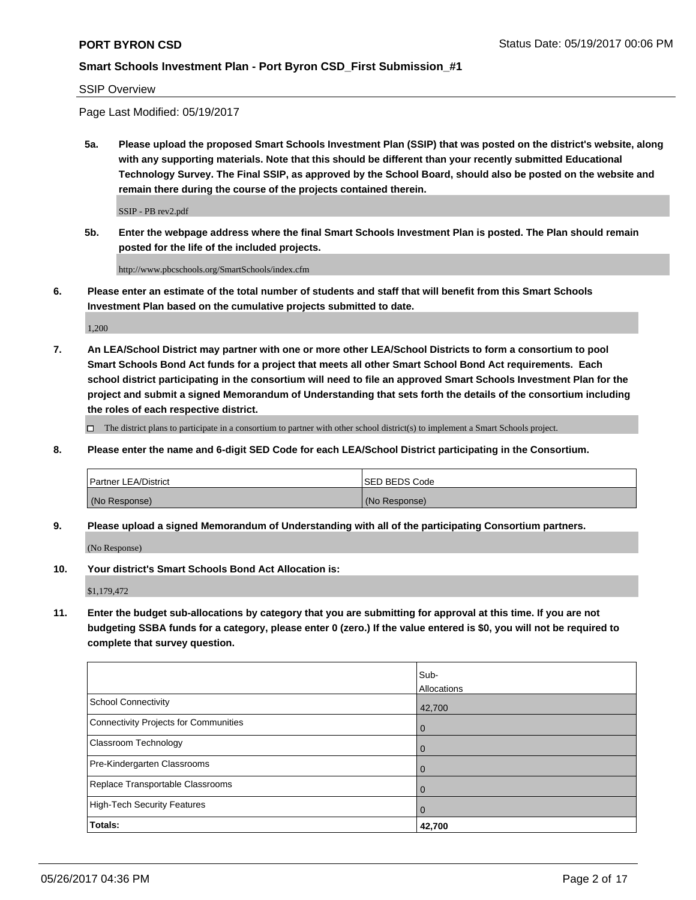SSIP Overview

Page Last Modified: 05/19/2017

**5a. Please upload the proposed Smart Schools Investment Plan (SSIP) that was posted on the district's website, along with any supporting materials. Note that this should be different than your recently submitted Educational Technology Survey. The Final SSIP, as approved by the School Board, should also be posted on the website and remain there during the course of the projects contained therein.**

SSIP - PB rev2.pdf

**5b. Enter the webpage address where the final Smart Schools Investment Plan is posted. The Plan should remain posted for the life of the included projects.**

http://www.pbcschools.org/SmartSchools/index.cfm

**6. Please enter an estimate of the total number of students and staff that will benefit from this Smart Schools Investment Plan based on the cumulative projects submitted to date.**

1,200

**7. An LEA/School District may partner with one or more other LEA/School Districts to form a consortium to pool Smart Schools Bond Act funds for a project that meets all other Smart School Bond Act requirements. Each school district participating in the consortium will need to file an approved Smart Schools Investment Plan for the project and submit a signed Memorandum of Understanding that sets forth the details of the consortium including the roles of each respective district.**

 $\Box$  The district plans to participate in a consortium to partner with other school district(s) to implement a Smart Schools project.

**8. Please enter the name and 6-digit SED Code for each LEA/School District participating in the Consortium.**

| <b>Partner LEA/District</b> | <b>ISED BEDS Code</b> |
|-----------------------------|-----------------------|
| (No Response)               | (No Response)         |

**9. Please upload a signed Memorandum of Understanding with all of the participating Consortium partners.**

(No Response)

**10. Your district's Smart Schools Bond Act Allocation is:**

\$1,179,472

**11. Enter the budget sub-allocations by category that you are submitting for approval at this time. If you are not budgeting SSBA funds for a category, please enter 0 (zero.) If the value entered is \$0, you will not be required to complete that survey question.**

|                                              | Sub-           |
|----------------------------------------------|----------------|
|                                              | Allocations    |
| <b>School Connectivity</b>                   | 42,700         |
| <b>Connectivity Projects for Communities</b> | $\overline{0}$ |
| Classroom Technology                         | $\overline{0}$ |
| Pre-Kindergarten Classrooms                  | 0              |
| Replace Transportable Classrooms             | $\mathbf 0$    |
| <b>High-Tech Security Features</b>           | $\overline{0}$ |
| Totals:                                      | 42,700         |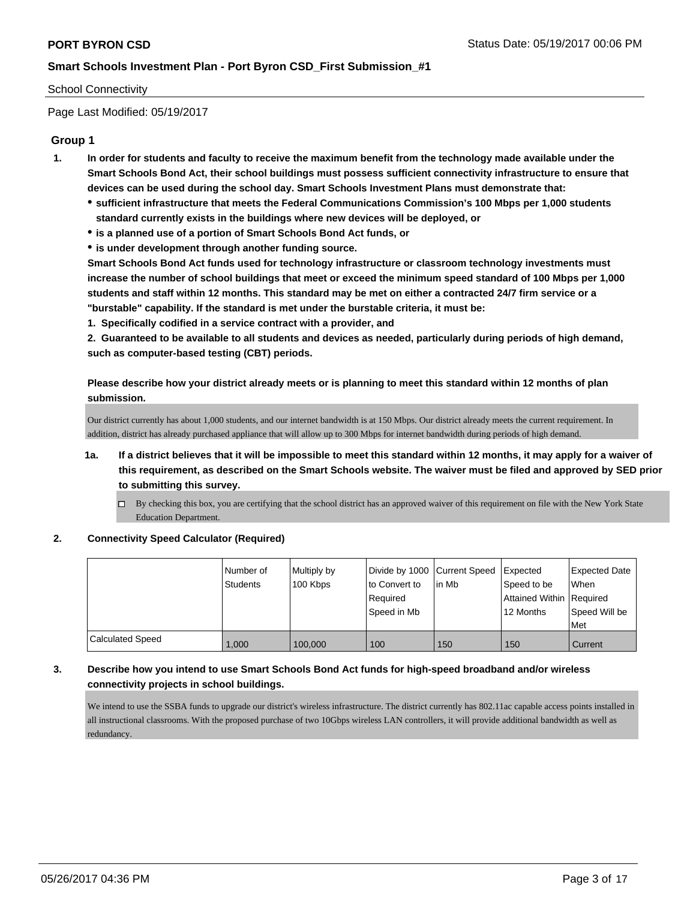### School Connectivity

Page Last Modified: 05/19/2017

## **Group 1**

- **1. In order for students and faculty to receive the maximum benefit from the technology made available under the Smart Schools Bond Act, their school buildings must possess sufficient connectivity infrastructure to ensure that devices can be used during the school day. Smart Schools Investment Plans must demonstrate that:**
	- **sufficient infrastructure that meets the Federal Communications Commission's 100 Mbps per 1,000 students standard currently exists in the buildings where new devices will be deployed, or**
	- **is a planned use of a portion of Smart Schools Bond Act funds, or**
	- **is under development through another funding source.**

**Smart Schools Bond Act funds used for technology infrastructure or classroom technology investments must increase the number of school buildings that meet or exceed the minimum speed standard of 100 Mbps per 1,000 students and staff within 12 months. This standard may be met on either a contracted 24/7 firm service or a "burstable" capability. If the standard is met under the burstable criteria, it must be:**

**1. Specifically codified in a service contract with a provider, and**

**2. Guaranteed to be available to all students and devices as needed, particularly during periods of high demand, such as computer-based testing (CBT) periods.**

**Please describe how your district already meets or is planning to meet this standard within 12 months of plan submission.**

Our district currently has about 1,000 students, and our internet bandwidth is at 150 Mbps. Our district already meets the current requirement. In addition, district has already purchased appliance that will allow up to 300 Mbps for internet bandwidth during periods of high demand.

- **1a. If a district believes that it will be impossible to meet this standard within 12 months, it may apply for a waiver of this requirement, as described on the Smart Schools website. The waiver must be filed and approved by SED prior to submitting this survey.**
	- By checking this box, you are certifying that the school district has an approved waiver of this requirement on file with the New York State Education Department.
- **2. Connectivity Speed Calculator (Required)**

|                         | Number of<br>Students | Multiply by<br>100 Kbps | Divide by 1000 Current Speed<br>to Convert to<br>Reauired<br>Speed in Mb | lin Mb | <b>Expected</b><br>Speed to be<br>Attained Within   Required<br>12 Months | Expected Date<br><b>When</b><br>Speed Will be<br>Met |
|-------------------------|-----------------------|-------------------------|--------------------------------------------------------------------------|--------|---------------------------------------------------------------------------|------------------------------------------------------|
| <b>Calculated Speed</b> | 1.000                 | 100.000                 | 100                                                                      | 150    | 150                                                                       | Current                                              |

## **3. Describe how you intend to use Smart Schools Bond Act funds for high-speed broadband and/or wireless connectivity projects in school buildings.**

We intend to use the SSBA funds to upgrade our district's wireless infrastructure. The district currently has 802.11ac capable access points installed in all instructional classrooms. With the proposed purchase of two 10Gbps wireless LAN controllers, it will provide additional bandwidth as well as redundancy.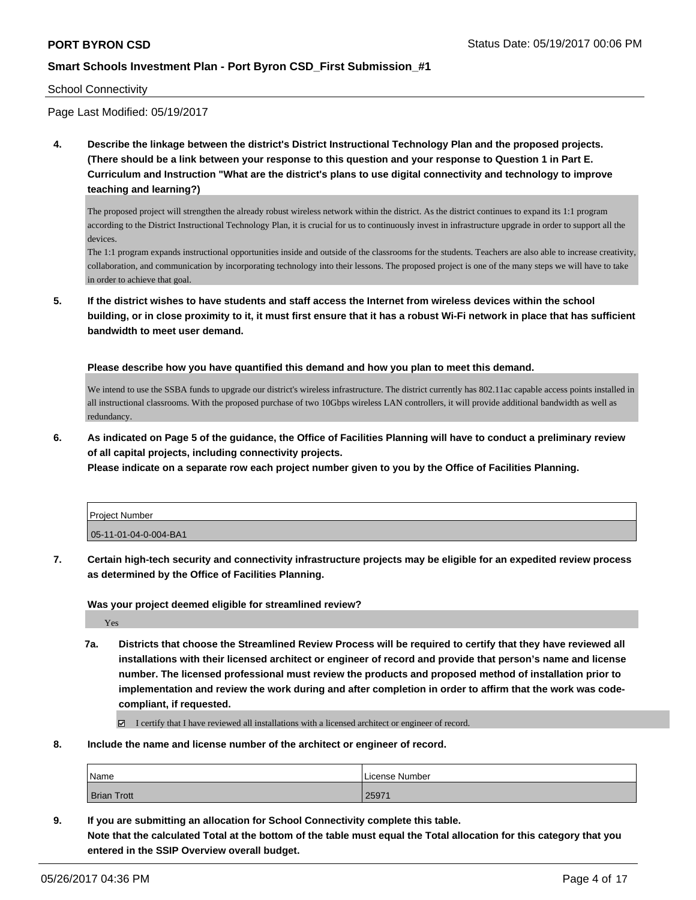#### School Connectivity

Page Last Modified: 05/19/2017

**4. Describe the linkage between the district's District Instructional Technology Plan and the proposed projects. (There should be a link between your response to this question and your response to Question 1 in Part E. Curriculum and Instruction "What are the district's plans to use digital connectivity and technology to improve teaching and learning?)**

The proposed project will strengthen the already robust wireless network within the district. As the district continues to expand its 1:1 program according to the District Instructional Technology Plan, it is crucial for us to continuously invest in infrastructure upgrade in order to support all the devices.

The 1:1 program expands instructional opportunities inside and outside of the classrooms for the students. Teachers are also able to increase creativity, collaboration, and communication by incorporating technology into their lessons. The proposed project is one of the many steps we will have to take in order to achieve that goal.

**5. If the district wishes to have students and staff access the Internet from wireless devices within the school building, or in close proximity to it, it must first ensure that it has a robust Wi-Fi network in place that has sufficient bandwidth to meet user demand.**

**Please describe how you have quantified this demand and how you plan to meet this demand.**

We intend to use the SSBA funds to upgrade our district's wireless infrastructure. The district currently has 802.11ac capable access points installed in all instructional classrooms. With the proposed purchase of two 10Gbps wireless LAN controllers, it will provide additional bandwidth as well as redundancy.

**6. As indicated on Page 5 of the guidance, the Office of Facilities Planning will have to conduct a preliminary review of all capital projects, including connectivity projects.**

**Please indicate on a separate row each project number given to you by the Office of Facilities Planning.**

| Project Number        |  |
|-----------------------|--|
| 05-11-01-04-0-004-BA1 |  |

**7. Certain high-tech security and connectivity infrastructure projects may be eligible for an expedited review process as determined by the Office of Facilities Planning.**

**Was your project deemed eligible for streamlined review?**

Yes

**7a. Districts that choose the Streamlined Review Process will be required to certify that they have reviewed all installations with their licensed architect or engineer of record and provide that person's name and license number. The licensed professional must review the products and proposed method of installation prior to implementation and review the work during and after completion in order to affirm that the work was codecompliant, if requested.**

I certify that I have reviewed all installations with a licensed architect or engineer of record.

**8. Include the name and license number of the architect or engineer of record.**

| 'Name              | License Number |
|--------------------|----------------|
| <b>Brian Trott</b> | 25971          |

**9. If you are submitting an allocation for School Connectivity complete this table. Note that the calculated Total at the bottom of the table must equal the Total allocation for this category that you entered in the SSIP Overview overall budget.**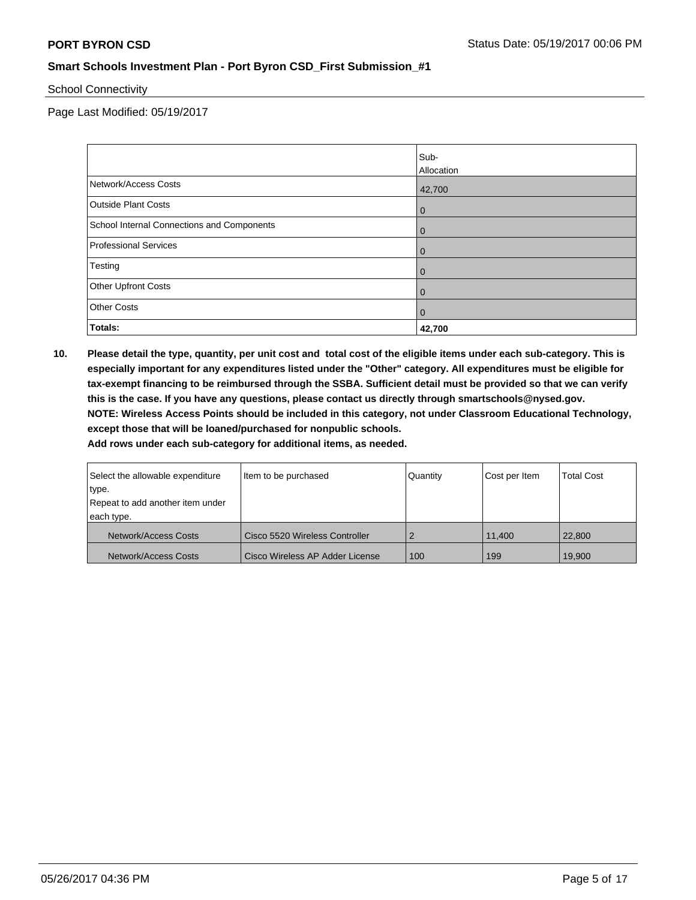School Connectivity

Page Last Modified: 05/19/2017

|                                            | Sub-           |
|--------------------------------------------|----------------|
|                                            | Allocation     |
| Network/Access Costs                       | 42,700         |
| <b>Outside Plant Costs</b>                 | $\overline{0}$ |
| School Internal Connections and Components | $\overline{0}$ |
| <b>Professional Services</b>               | $\overline{0}$ |
| Testing                                    | $\overline{0}$ |
| <b>Other Upfront Costs</b>                 | $\overline{0}$ |
| <b>Other Costs</b>                         | $\overline{0}$ |
| Totals:                                    | 42,700         |

**10. Please detail the type, quantity, per unit cost and total cost of the eligible items under each sub-category. This is especially important for any expenditures listed under the "Other" category. All expenditures must be eligible for tax-exempt financing to be reimbursed through the SSBA. Sufficient detail must be provided so that we can verify this is the case. If you have any questions, please contact us directly through smartschools@nysed.gov. NOTE: Wireless Access Points should be included in this category, not under Classroom Educational Technology, except those that will be loaned/purchased for nonpublic schools.**

| Select the allowable expenditure | Item to be purchased            | Quantity | Cost per Item | Total Cost |
|----------------------------------|---------------------------------|----------|---------------|------------|
| type.                            |                                 |          |               |            |
| Repeat to add another item under |                                 |          |               |            |
| each type.                       |                                 |          |               |            |
| Network/Access Costs             | Cisco 5520 Wireless Controller  |          | 11.400        | 22,800     |
| Network/Access Costs             | Cisco Wireless AP Adder License | 100      | 199           | 19,900     |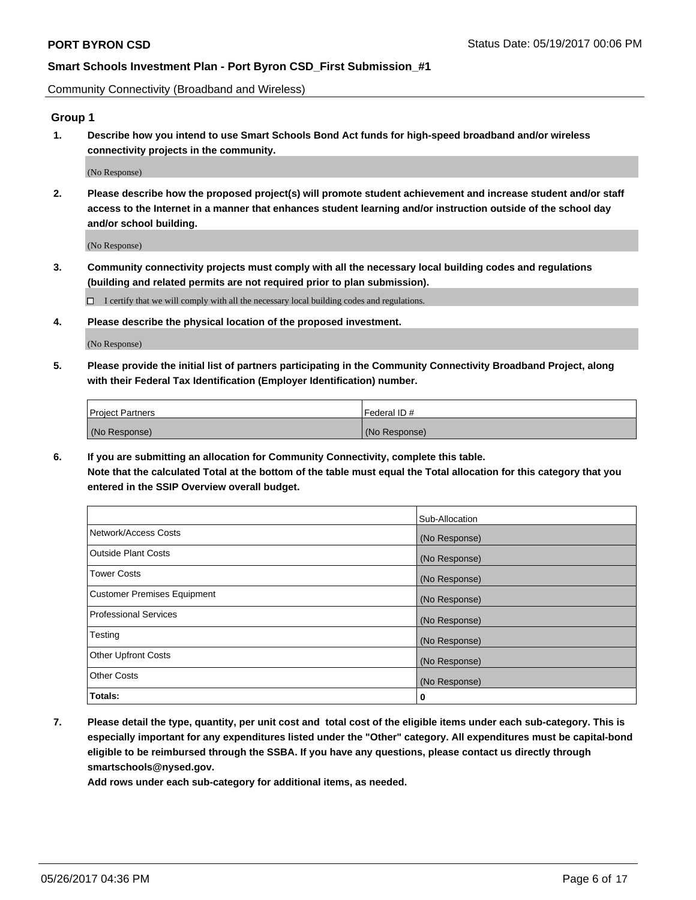Community Connectivity (Broadband and Wireless)

### **Group 1**

**1. Describe how you intend to use Smart Schools Bond Act funds for high-speed broadband and/or wireless connectivity projects in the community.**

(No Response)

**2. Please describe how the proposed project(s) will promote student achievement and increase student and/or staff access to the Internet in a manner that enhances student learning and/or instruction outside of the school day and/or school building.**

(No Response)

**3. Community connectivity projects must comply with all the necessary local building codes and regulations (building and related permits are not required prior to plan submission).**

 $\Box$  I certify that we will comply with all the necessary local building codes and regulations.

**4. Please describe the physical location of the proposed investment.**

(No Response)

**5. Please provide the initial list of partners participating in the Community Connectivity Broadband Project, along with their Federal Tax Identification (Employer Identification) number.**

| <b>Project Partners</b> | Federal ID#   |
|-------------------------|---------------|
| (No Response)           | (No Response) |

**6. If you are submitting an allocation for Community Connectivity, complete this table. Note that the calculated Total at the bottom of the table must equal the Total allocation for this category that you entered in the SSIP Overview overall budget.**

|                                    | Sub-Allocation |
|------------------------------------|----------------|
| Network/Access Costs               | (No Response)  |
| Outside Plant Costs                | (No Response)  |
| <b>Tower Costs</b>                 | (No Response)  |
| <b>Customer Premises Equipment</b> | (No Response)  |
| Professional Services              | (No Response)  |
| Testing                            | (No Response)  |
| <b>Other Upfront Costs</b>         | (No Response)  |
| <b>Other Costs</b>                 | (No Response)  |
| Totals:                            | 0              |

**7. Please detail the type, quantity, per unit cost and total cost of the eligible items under each sub-category. This is especially important for any expenditures listed under the "Other" category. All expenditures must be capital-bond eligible to be reimbursed through the SSBA. If you have any questions, please contact us directly through smartschools@nysed.gov.**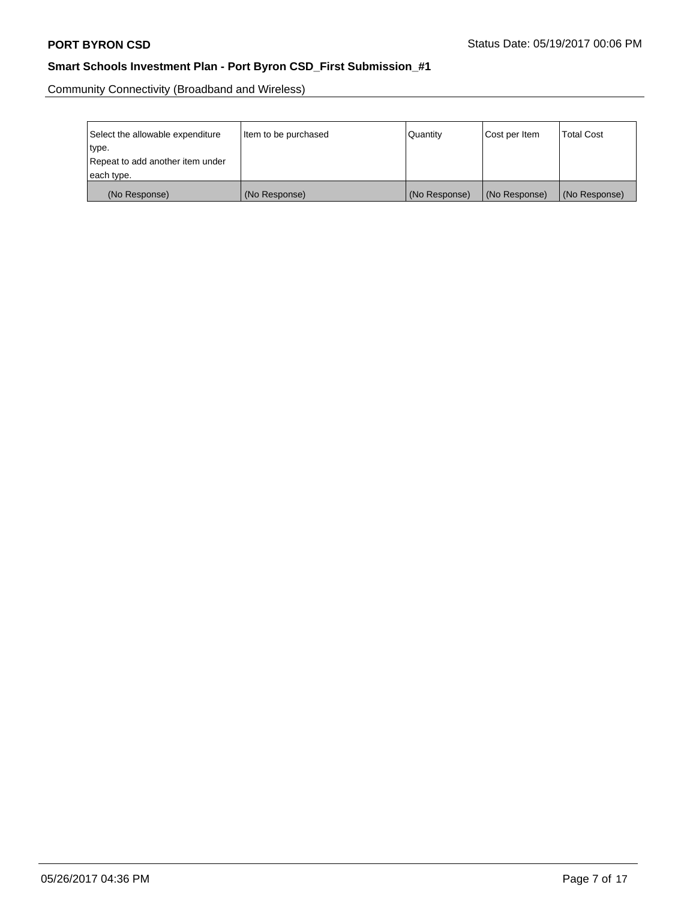Community Connectivity (Broadband and Wireless)

| Select the allowable expenditure | Item to be purchased | Quantity      | Cost per Item | <b>Total Cost</b> |
|----------------------------------|----------------------|---------------|---------------|-------------------|
| type.                            |                      |               |               |                   |
| Repeat to add another item under |                      |               |               |                   |
| each type.                       |                      |               |               |                   |
| (No Response)                    | (No Response)        | (No Response) | (No Response) | (No Response)     |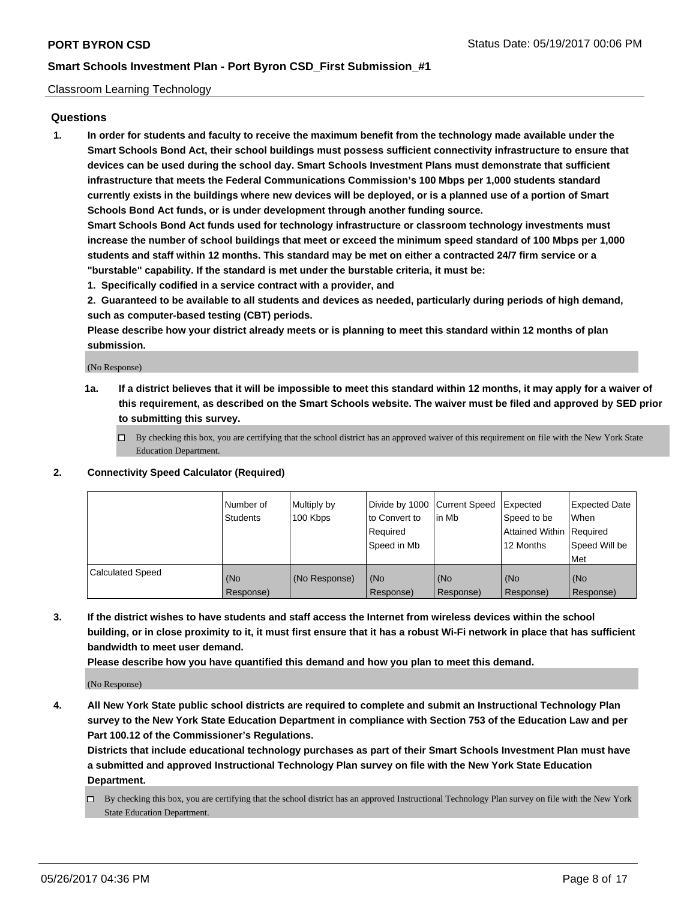#### Classroom Learning Technology

### **Questions**

**1. In order for students and faculty to receive the maximum benefit from the technology made available under the Smart Schools Bond Act, their school buildings must possess sufficient connectivity infrastructure to ensure that devices can be used during the school day. Smart Schools Investment Plans must demonstrate that sufficient infrastructure that meets the Federal Communications Commission's 100 Mbps per 1,000 students standard currently exists in the buildings where new devices will be deployed, or is a planned use of a portion of Smart Schools Bond Act funds, or is under development through another funding source. Smart Schools Bond Act funds used for technology infrastructure or classroom technology investments must**

**increase the number of school buildings that meet or exceed the minimum speed standard of 100 Mbps per 1,000 students and staff within 12 months. This standard may be met on either a contracted 24/7 firm service or a "burstable" capability. If the standard is met under the burstable criteria, it must be:**

**1. Specifically codified in a service contract with a provider, and**

**2. Guaranteed to be available to all students and devices as needed, particularly during periods of high demand, such as computer-based testing (CBT) periods.**

**Please describe how your district already meets or is planning to meet this standard within 12 months of plan submission.**

(No Response)

- **1a. If a district believes that it will be impossible to meet this standard within 12 months, it may apply for a waiver of this requirement, as described on the Smart Schools website. The waiver must be filed and approved by SED prior to submitting this survey.**
	- $\Box$  By checking this box, you are certifying that the school district has an approved waiver of this requirement on file with the New York State Education Department.

#### **2. Connectivity Speed Calculator (Required)**

|                         | Number of<br><b>Students</b> | Multiply by<br>100 Kbps | Divide by 1000 Current Speed<br>to Convert to<br>Required<br>Speed in Mb | l in Mb          | Expected<br>Speed to be<br>Attained Within   Required<br>12 Months | <b>Expected Date</b><br><b>When</b><br>Speed Will be<br>Met |
|-------------------------|------------------------------|-------------------------|--------------------------------------------------------------------------|------------------|--------------------------------------------------------------------|-------------------------------------------------------------|
| <b>Calculated Speed</b> | (No<br>Response)             | (No Response)           | (No<br>Response)                                                         | (No<br>Response) | (No<br>Response)                                                   | (No<br>Response)                                            |

**3. If the district wishes to have students and staff access the Internet from wireless devices within the school building, or in close proximity to it, it must first ensure that it has a robust Wi-Fi network in place that has sufficient bandwidth to meet user demand.**

**Please describe how you have quantified this demand and how you plan to meet this demand.**

(No Response)

**4. All New York State public school districts are required to complete and submit an Instructional Technology Plan survey to the New York State Education Department in compliance with Section 753 of the Education Law and per Part 100.12 of the Commissioner's Regulations.**

**Districts that include educational technology purchases as part of their Smart Schools Investment Plan must have a submitted and approved Instructional Technology Plan survey on file with the New York State Education Department.**

By checking this box, you are certifying that the school district has an approved Instructional Technology Plan survey on file with the New York State Education Department.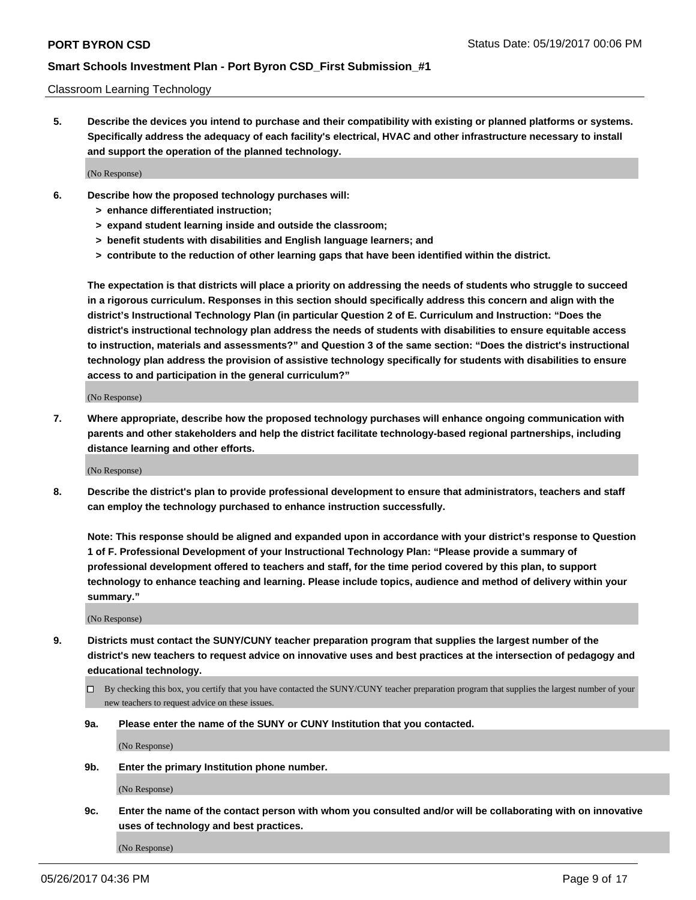#### Classroom Learning Technology

**5. Describe the devices you intend to purchase and their compatibility with existing or planned platforms or systems. Specifically address the adequacy of each facility's electrical, HVAC and other infrastructure necessary to install and support the operation of the planned technology.**

(No Response)

- **6. Describe how the proposed technology purchases will:**
	- **> enhance differentiated instruction;**
	- **> expand student learning inside and outside the classroom;**
	- **> benefit students with disabilities and English language learners; and**
	- **> contribute to the reduction of other learning gaps that have been identified within the district.**

**The expectation is that districts will place a priority on addressing the needs of students who struggle to succeed in a rigorous curriculum. Responses in this section should specifically address this concern and align with the district's Instructional Technology Plan (in particular Question 2 of E. Curriculum and Instruction: "Does the district's instructional technology plan address the needs of students with disabilities to ensure equitable access to instruction, materials and assessments?" and Question 3 of the same section: "Does the district's instructional technology plan address the provision of assistive technology specifically for students with disabilities to ensure access to and participation in the general curriculum?"**

(No Response)

**7. Where appropriate, describe how the proposed technology purchases will enhance ongoing communication with parents and other stakeholders and help the district facilitate technology-based regional partnerships, including distance learning and other efforts.**

(No Response)

**8. Describe the district's plan to provide professional development to ensure that administrators, teachers and staff can employ the technology purchased to enhance instruction successfully.**

**Note: This response should be aligned and expanded upon in accordance with your district's response to Question 1 of F. Professional Development of your Instructional Technology Plan: "Please provide a summary of professional development offered to teachers and staff, for the time period covered by this plan, to support technology to enhance teaching and learning. Please include topics, audience and method of delivery within your summary."**

(No Response)

- **9. Districts must contact the SUNY/CUNY teacher preparation program that supplies the largest number of the district's new teachers to request advice on innovative uses and best practices at the intersection of pedagogy and educational technology.**
	- By checking this box, you certify that you have contacted the SUNY/CUNY teacher preparation program that supplies the largest number of your new teachers to request advice on these issues.
	- **9a. Please enter the name of the SUNY or CUNY Institution that you contacted.**

(No Response)

**9b. Enter the primary Institution phone number.**

(No Response)

**9c. Enter the name of the contact person with whom you consulted and/or will be collaborating with on innovative uses of technology and best practices.**

(No Response)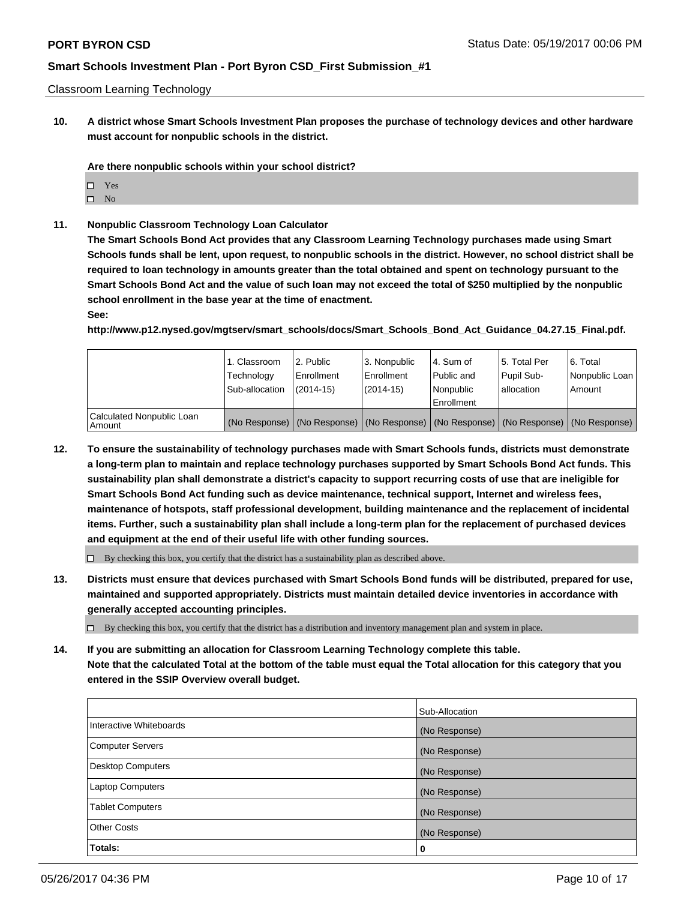Classroom Learning Technology

**10. A district whose Smart Schools Investment Plan proposes the purchase of technology devices and other hardware must account for nonpublic schools in the district.**

**Are there nonpublic schools within your school district?**

- □ Yes
- $\square$  No
- **11. Nonpublic Classroom Technology Loan Calculator**

**The Smart Schools Bond Act provides that any Classroom Learning Technology purchases made using Smart Schools funds shall be lent, upon request, to nonpublic schools in the district. However, no school district shall be required to loan technology in amounts greater than the total obtained and spent on technology pursuant to the Smart Schools Bond Act and the value of such loan may not exceed the total of \$250 multiplied by the nonpublic school enrollment in the base year at the time of enactment.**

#### **See:**

**http://www.p12.nysed.gov/mgtserv/smart\_schools/docs/Smart\_Schools\_Bond\_Act\_Guidance\_04.27.15\_Final.pdf.**

|                                     | 1. Classroom<br>Technology<br>Sub-allocation | 2. Public<br>Enrollment<br>(2014-15) | 3. Nonpublic<br>Enrollment<br>(2014-15) | l 4. Sum of<br>Public and<br>l Nonpublic<br>Enrollment                                        | 15. Total Per<br>Pupil Sub-<br>l allocation | l 6. Total<br>Nonpublic Loan<br>l Amount |
|-------------------------------------|----------------------------------------------|--------------------------------------|-----------------------------------------|-----------------------------------------------------------------------------------------------|---------------------------------------------|------------------------------------------|
| Calculated Nonpublic Loan<br>Amount |                                              |                                      |                                         | (No Response)   (No Response)   (No Response)   (No Response)   (No Response)   (No Response) |                                             |                                          |

**12. To ensure the sustainability of technology purchases made with Smart Schools funds, districts must demonstrate a long-term plan to maintain and replace technology purchases supported by Smart Schools Bond Act funds. This sustainability plan shall demonstrate a district's capacity to support recurring costs of use that are ineligible for Smart Schools Bond Act funding such as device maintenance, technical support, Internet and wireless fees, maintenance of hotspots, staff professional development, building maintenance and the replacement of incidental items. Further, such a sustainability plan shall include a long-term plan for the replacement of purchased devices and equipment at the end of their useful life with other funding sources.**

 $\Box$  By checking this box, you certify that the district has a sustainability plan as described above.

**13. Districts must ensure that devices purchased with Smart Schools Bond funds will be distributed, prepared for use, maintained and supported appropriately. Districts must maintain detailed device inventories in accordance with generally accepted accounting principles.**

By checking this box, you certify that the district has a distribution and inventory management plan and system in place.

**14. If you are submitting an allocation for Classroom Learning Technology complete this table. Note that the calculated Total at the bottom of the table must equal the Total allocation for this category that you entered in the SSIP Overview overall budget.**

|                          | Sub-Allocation |
|--------------------------|----------------|
| Interactive Whiteboards  | (No Response)  |
| <b>Computer Servers</b>  | (No Response)  |
| <b>Desktop Computers</b> | (No Response)  |
| Laptop Computers         | (No Response)  |
| <b>Tablet Computers</b>  | (No Response)  |
| <b>Other Costs</b>       | (No Response)  |
| Totals:                  | 0              |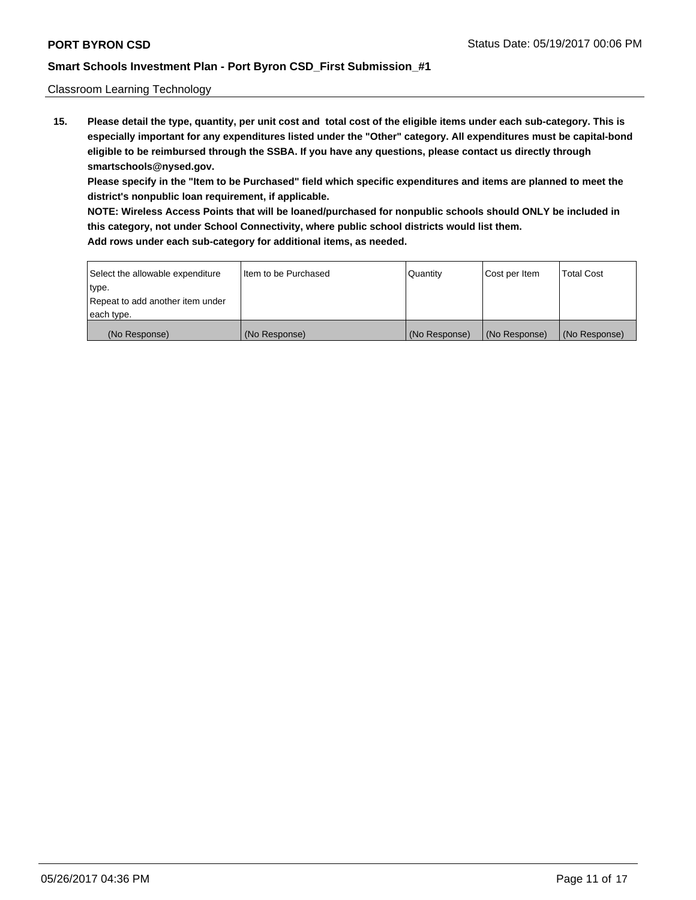Classroom Learning Technology

**15. Please detail the type, quantity, per unit cost and total cost of the eligible items under each sub-category. This is especially important for any expenditures listed under the "Other" category. All expenditures must be capital-bond eligible to be reimbursed through the SSBA. If you have any questions, please contact us directly through smartschools@nysed.gov.**

**Please specify in the "Item to be Purchased" field which specific expenditures and items are planned to meet the district's nonpublic loan requirement, if applicable.**

**NOTE: Wireless Access Points that will be loaned/purchased for nonpublic schools should ONLY be included in this category, not under School Connectivity, where public school districts would list them.**

| Select the allowable expenditure | I Item to be Purchased | Quantity      | Cost per Item | <b>Total Cost</b> |
|----------------------------------|------------------------|---------------|---------------|-------------------|
| type.                            |                        |               |               |                   |
| Repeat to add another item under |                        |               |               |                   |
| each type.                       |                        |               |               |                   |
| (No Response)                    | (No Response)          | (No Response) | (No Response) | (No Response)     |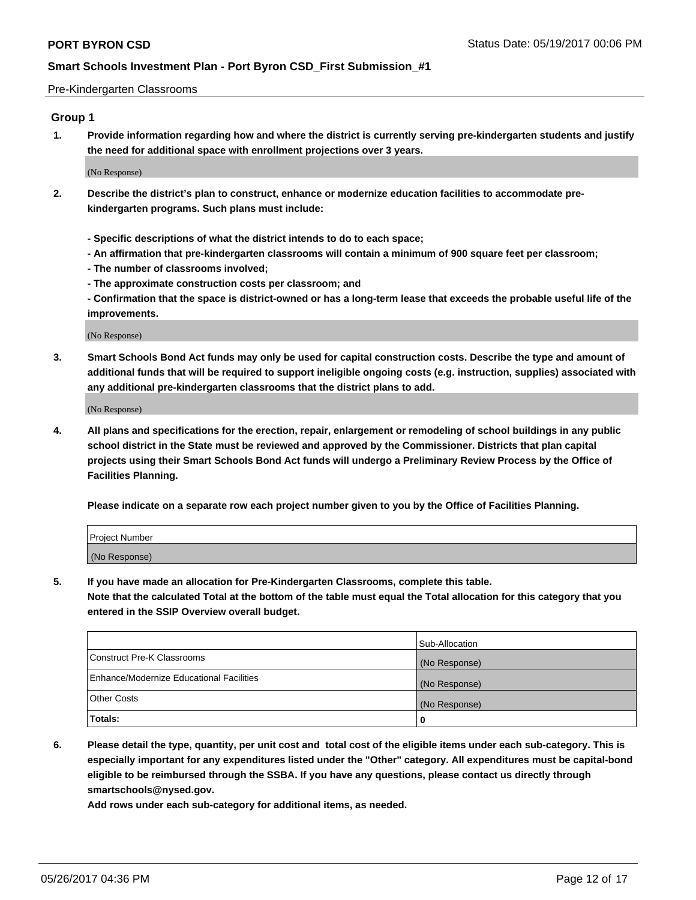#### Pre-Kindergarten Classrooms

### **Group 1**

**1. Provide information regarding how and where the district is currently serving pre-kindergarten students and justify the need for additional space with enrollment projections over 3 years.**

(No Response)

- **2. Describe the district's plan to construct, enhance or modernize education facilities to accommodate prekindergarten programs. Such plans must include:**
	- **Specific descriptions of what the district intends to do to each space;**
	- **An affirmation that pre-kindergarten classrooms will contain a minimum of 900 square feet per classroom;**
	- **The number of classrooms involved;**
	- **The approximate construction costs per classroom; and**

**- Confirmation that the space is district-owned or has a long-term lease that exceeds the probable useful life of the improvements.**

(No Response)

**3. Smart Schools Bond Act funds may only be used for capital construction costs. Describe the type and amount of additional funds that will be required to support ineligible ongoing costs (e.g. instruction, supplies) associated with any additional pre-kindergarten classrooms that the district plans to add.**

(No Response)

**4. All plans and specifications for the erection, repair, enlargement or remodeling of school buildings in any public school district in the State must be reviewed and approved by the Commissioner. Districts that plan capital projects using their Smart Schools Bond Act funds will undergo a Preliminary Review Process by the Office of Facilities Planning.**

**Please indicate on a separate row each project number given to you by the Office of Facilities Planning.**

| Project Number |  |
|----------------|--|
| (No Response)  |  |

**5. If you have made an allocation for Pre-Kindergarten Classrooms, complete this table.**

**Note that the calculated Total at the bottom of the table must equal the Total allocation for this category that you entered in the SSIP Overview overall budget.**

|                                          | Sub-Allocation |
|------------------------------------------|----------------|
| Construct Pre-K Classrooms               | (No Response)  |
| Enhance/Modernize Educational Facilities | (No Response)  |
| Other Costs                              | (No Response)  |
| Totals:                                  | 0              |

**6. Please detail the type, quantity, per unit cost and total cost of the eligible items under each sub-category. This is especially important for any expenditures listed under the "Other" category. All expenditures must be capital-bond eligible to be reimbursed through the SSBA. If you have any questions, please contact us directly through smartschools@nysed.gov.**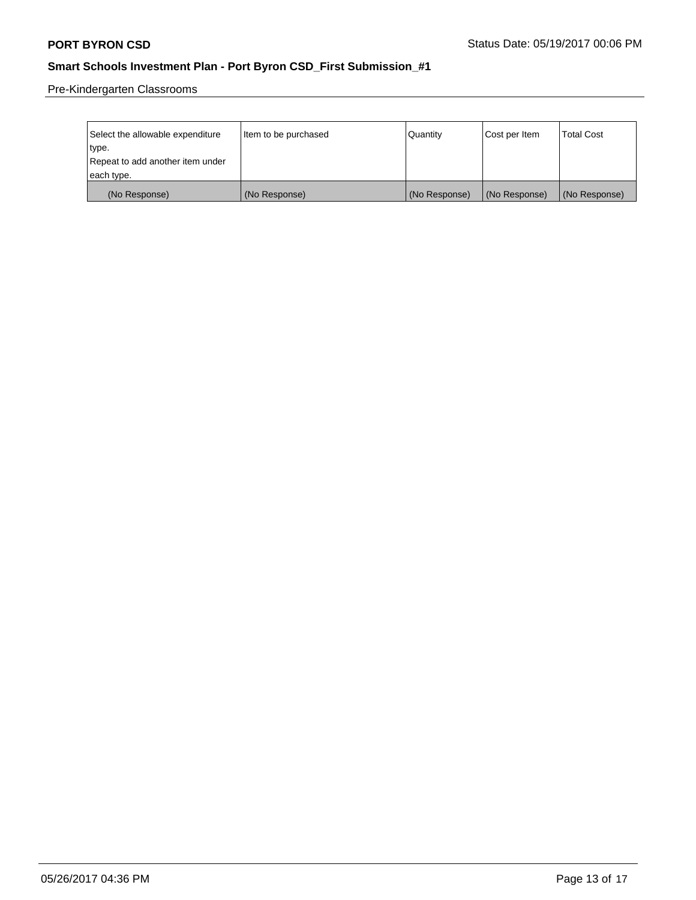Pre-Kindergarten Classrooms

| Select the allowable expenditure<br>type.      | Item to be purchased | Quantity      | Cost per Item | <b>Total Cost</b> |
|------------------------------------------------|----------------------|---------------|---------------|-------------------|
| Repeat to add another item under<br>each type. |                      |               |               |                   |
| (No Response)                                  | (No Response)        | (No Response) | (No Response) | (No Response)     |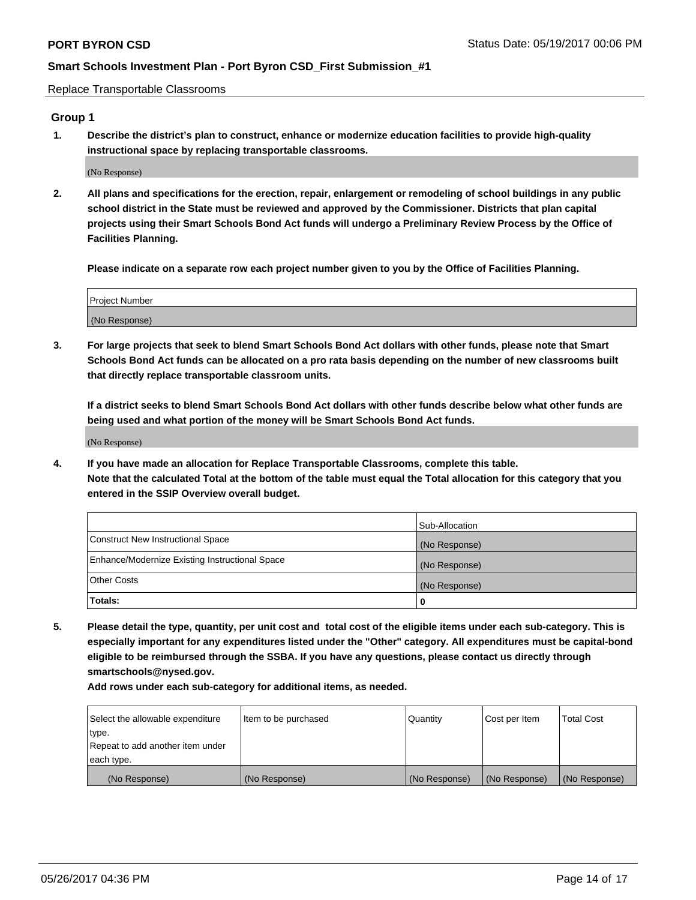Replace Transportable Classrooms

### **Group 1**

**1. Describe the district's plan to construct, enhance or modernize education facilities to provide high-quality instructional space by replacing transportable classrooms.**

(No Response)

**2. All plans and specifications for the erection, repair, enlargement or remodeling of school buildings in any public school district in the State must be reviewed and approved by the Commissioner. Districts that plan capital projects using their Smart Schools Bond Act funds will undergo a Preliminary Review Process by the Office of Facilities Planning.**

**Please indicate on a separate row each project number given to you by the Office of Facilities Planning.**

| Project Number |  |
|----------------|--|
| (No Response)  |  |

**3. For large projects that seek to blend Smart Schools Bond Act dollars with other funds, please note that Smart Schools Bond Act funds can be allocated on a pro rata basis depending on the number of new classrooms built that directly replace transportable classroom units.**

**If a district seeks to blend Smart Schools Bond Act dollars with other funds describe below what other funds are being used and what portion of the money will be Smart Schools Bond Act funds.**

(No Response)

**4. If you have made an allocation for Replace Transportable Classrooms, complete this table. Note that the calculated Total at the bottom of the table must equal the Total allocation for this category that you entered in the SSIP Overview overall budget.**

|                                                | Sub-Allocation |
|------------------------------------------------|----------------|
| Construct New Instructional Space              | (No Response)  |
| Enhance/Modernize Existing Instructional Space | (No Response)  |
| Other Costs                                    | (No Response)  |
| Totals:                                        | 0              |

**5. Please detail the type, quantity, per unit cost and total cost of the eligible items under each sub-category. This is especially important for any expenditures listed under the "Other" category. All expenditures must be capital-bond eligible to be reimbursed through the SSBA. If you have any questions, please contact us directly through smartschools@nysed.gov.**

| Select the allowable expenditure | Item to be purchased | Quantity      | Cost per Item | <b>Total Cost</b> |
|----------------------------------|----------------------|---------------|---------------|-------------------|
| type.                            |                      |               |               |                   |
| Repeat to add another item under |                      |               |               |                   |
| each type.                       |                      |               |               |                   |
| (No Response)                    | (No Response)        | (No Response) | (No Response) | (No Response)     |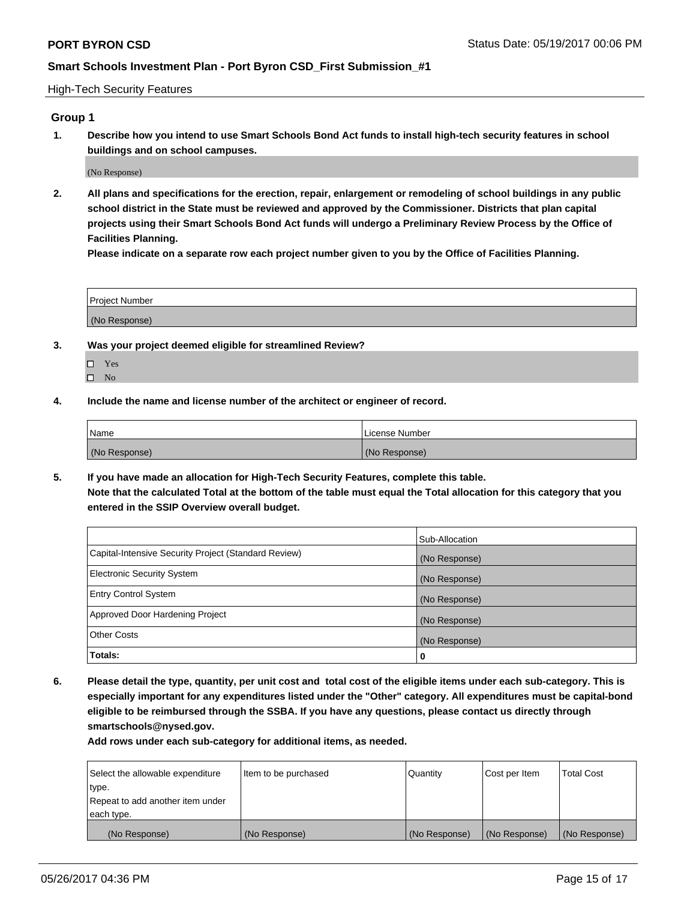High-Tech Security Features

### **Group 1**

**1. Describe how you intend to use Smart Schools Bond Act funds to install high-tech security features in school buildings and on school campuses.**

(No Response)

**2. All plans and specifications for the erection, repair, enlargement or remodeling of school buildings in any public school district in the State must be reviewed and approved by the Commissioner. Districts that plan capital projects using their Smart Schools Bond Act funds will undergo a Preliminary Review Process by the Office of Facilities Planning.** 

**Please indicate on a separate row each project number given to you by the Office of Facilities Planning.**

| <b>Project Number</b> |  |
|-----------------------|--|
| (No Response)         |  |

- **3. Was your project deemed eligible for streamlined Review?**
	- Yes  $\square$  No
- **4. Include the name and license number of the architect or engineer of record.**

| <b>Name</b>   | License Number |
|---------------|----------------|
| (No Response) | (No Response)  |

**5. If you have made an allocation for High-Tech Security Features, complete this table. Note that the calculated Total at the bottom of the table must equal the Total allocation for this category that you entered in the SSIP Overview overall budget.**

|                                                      | Sub-Allocation |
|------------------------------------------------------|----------------|
| Capital-Intensive Security Project (Standard Review) | (No Response)  |
| <b>Electronic Security System</b>                    | (No Response)  |
| <b>Entry Control System</b>                          | (No Response)  |
| Approved Door Hardening Project                      | (No Response)  |
| <b>Other Costs</b>                                   | (No Response)  |
| Totals:                                              | 0              |

**6. Please detail the type, quantity, per unit cost and total cost of the eligible items under each sub-category. This is especially important for any expenditures listed under the "Other" category. All expenditures must be capital-bond eligible to be reimbursed through the SSBA. If you have any questions, please contact us directly through smartschools@nysed.gov.**

| Select the allowable expenditure | Item to be purchased | Quantity      | Cost per Item | <b>Total Cost</b> |
|----------------------------------|----------------------|---------------|---------------|-------------------|
| type.                            |                      |               |               |                   |
| Repeat to add another item under |                      |               |               |                   |
| each type.                       |                      |               |               |                   |
| (No Response)                    | (No Response)        | (No Response) | (No Response) | (No Response)     |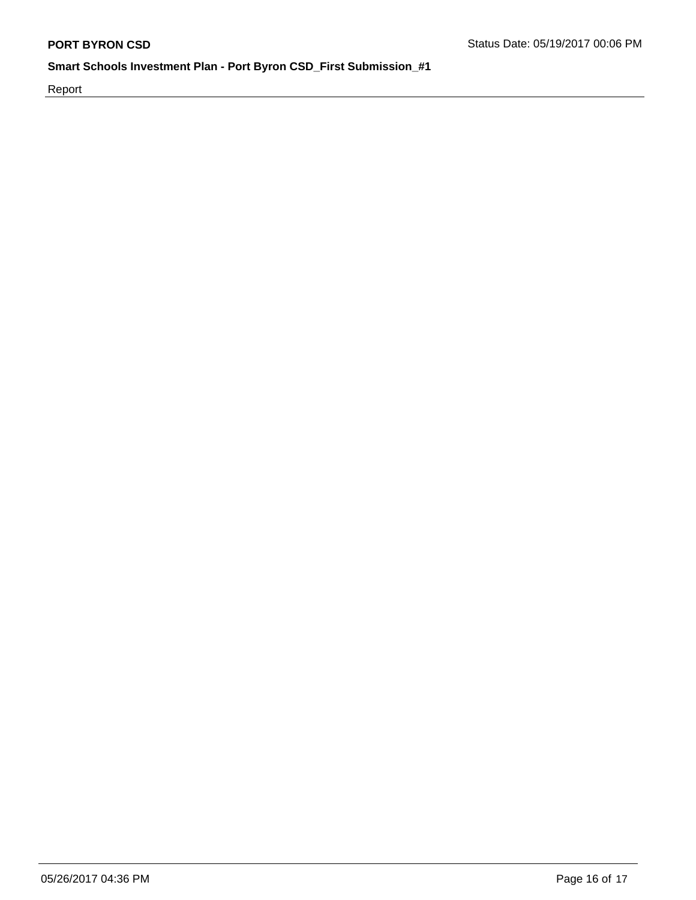Report